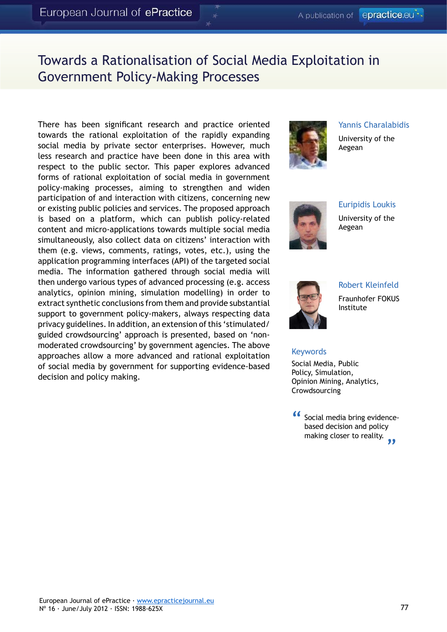# Towards a Rationalisation of Social Media Exploitation in Government Policy-Making Processes

There has been significant research and practice oriented towards the rational exploitation of the rapidly expanding social media by private sector enterprises. However, much less research and practice have been done in this area with respect to the public sector. This paper explores advanced forms of rational exploitation of social media in government policy-making processes, aiming to strengthen and widen participation of and interaction with citizens, concerning new or existing public policies and services. The proposed approach is based on a platform, which can publish policy-related content and micro-applications towards multiple social media simultaneously, also collect data on citizens' interaction with them (e.g. views, comments, ratings, votes, etc.), using the application programming interfaces (API) of the targeted social media. The information gathered through social media will then undergo various types of advanced processing (e.g. access analytics, opinion mining, simulation modelling) in order to extract synthetic conclusions from them and provide substantial support to government policy-makers, always respecting data privacy guidelines. In addition, an extension of this 'stimulated/ guided crowdsourcing' approach is presented, based on 'nonmoderated crowdsourcing' by government agencies. The above approaches allow a more advanced and rational exploitation of social media by government for supporting evidence-based decision and policy making.



Yannis Charalabidis

University of the Aegean



Euripidis Loukis University of the Aegean



Robert Kleinfeld Fraunhofer FOKUS

Institute

#### **Keywords**

Social Media, Public Policy, Simulation, Opinion Mining, Analytics, **Crowdsourcing** 

Social media bring evidencebased decision and policy making closer to reality.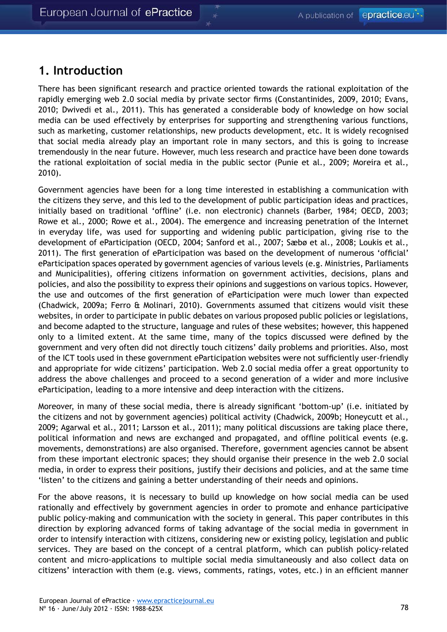#### **1. Introduction**

There has been significant research and practice oriented towards the rational exploitation of the rapidly emerging web 2.0 social media by private sector firms (Constantinides, 2009, 2010; Evans, 2010; Dwivedi et al., 2011). This has generated a considerable body of knowledge on how social media can be used effectively by enterprises for supporting and strengthening various functions, such as marketing, customer relationships, new products development, etc. It is widely recognised that social media already play an important role in many sectors, and this is going to increase tremendously in the near future. However, much less research and practice have been done towards the rational exploitation of social media in the public sector (Punie et al., 2009; Moreira et al., 2010).

Government agencies have been for a long time interested in establishing a communication with the citizens they serve, and this led to the development of public participation ideas and practices, initially based on traditional 'offline' (i.e. non electronic) channels (Barber, 1984; OECD, 2003; Rowe et al., 2000; Rowe et al., 2004). The emergence and increasing penetration of the Internet in everyday life, was used for supporting and widening public participation, giving rise to the development of eParticipation (OECD, 2004; Sanford et al., 2007; Sæbø et al., 2008; Loukis et al., 2011). The first generation of eParticipation was based on the development of numerous 'official' eParticipation spaces operated by government agencies of various levels (e.g. Ministries, Parliaments and Municipalities), offering citizens information on government activities, decisions, plans and policies, and also the possibility to express their opinions and suggestions on various topics. However, the use and outcomes of the first generation of eParticipation were much lower than expected (Chadwick, 2009a; Ferro & Molinari, 2010). Governments assumed that citizens would visit these websites, in order to participate in public debates on various proposed public policies or legislations, and become adapted to the structure, language and rules of these websites; however, this happened only to a limited extent. At the same time, many of the topics discussed were defined by the government and very often did not directly touch citizens' daily problems and priorities. Also, most of the ICT tools used in these government eParticipation websites were not sufficiently user-friendly and appropriate for wide citizens' participation. Web 2.0 social media offer a great opportunity to address the above challenges and proceed to a second generation of a wider and more inclusive eParticipation, leading to a more intensive and deep interaction with the citizens.

Moreover, in many of these social media, there is already significant 'bottom-up' (i.e. initiated by the citizens and not by government agencies) political activity (Chadwick, 2009b; Honeycutt et al., 2009; Agarwal et al., 2011; Larsson et al., 2011); many political discussions are taking place there, political information and news are exchanged and propagated, and offline political events (e.g. movements, demonstrations) are also organised. Therefore, government agencies cannot be absent from these important electronic spaces; they should organise their presence in the web 2.0 social media, in order to express their positions, justify their decisions and policies, and at the same time 'listen' to the citizens and gaining a better understanding of their needs and opinions.

For the above reasons, it is necessary to build up knowledge on how social media can be used rationally and effectively by government agencies in order to promote and enhance participative public policy-making and communication with the society in general. This paper contributes in this direction by exploring advanced forms of taking advantage of the social media in government in order to intensify interaction with citizens, considering new or existing policy, legislation and public services. They are based on the concept of a central platform, which can publish policy-related content and micro-applications to multiple social media simultaneously and also collect data on citizens' interaction with them (e.g. views, comments, ratings, votes, etc.) in an efficient manner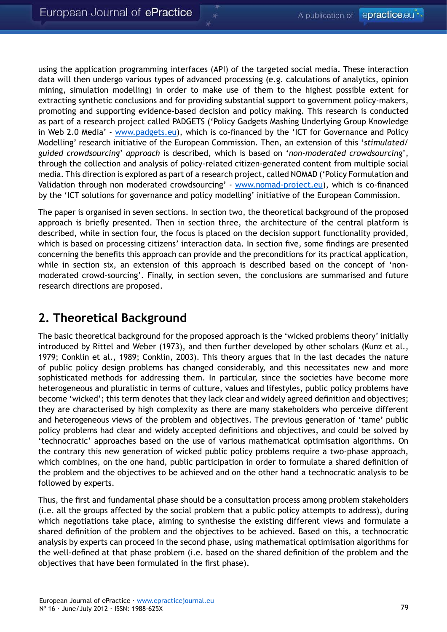using the application programming interfaces (API) of the targeted social media. These interaction data will then undergo various types of advanced processing (e.g. calculations of analytics, opinion mining, simulation modelling) in order to make use of them to the highest possible extent for extracting synthetic conclusions and for providing substantial support to government policy-makers, promoting and supporting evidence-based decision and policy making. This research is conducted as part of a research project called PADGETS ('Policy Gadgets Mashing Underlying Group Knowledge in Web 2.0 Media' - <www.padgets.eu>), which is co-financed by the 'ICT for Governance and Policy Modelling' research initiative of the European Commission. Then, an extension of this '*stimulated/ guided crowdsourcing*' *approach* is described, which is based on '*non-moderated crowdsourcing*', through the collection and analysis of policy-related citizen-generated content from multiple social media. This direction is explored as part of a research project, called NOMAD ('Policy Formulation and Validation through non moderated crowdsourcing' - [www.nomad-project.eu](http://www.nomad-project.eu)), which is co-financed by the 'ICT solutions for governance and policy modelling' initiative of the European Commission.

The paper is organised in seven sections. In section two, the theoretical background of the proposed approach is briefly presented. Then in section three, the architecture of the central platform is described, while in section four, the focus is placed on the decision support functionality provided, which is based on processing citizens' interaction data. In section five, some findings are presented concerning the benefits this approach can provide and the preconditions for its practical application, while in section six, an extension of this approach is described based on the concept of 'nonmoderated crowd-sourcing'. Finally, in section seven, the conclusions are summarised and future research directions are proposed.

## **2. Theoretical Background**

The basic theoretical background for the proposed approach is the 'wicked problems theory' initially introduced by Rittel and Weber (1973), and then further developed by other scholars (Kunz et al., 1979; Conklin et al., 1989; Conklin, 2003). This theory argues that in the last decades the nature of public policy design problems has changed considerably, and this necessitates new and more sophisticated methods for addressing them. In particular, since the societies have become more heterogeneous and pluralistic in terms of culture, values and lifestyles, public policy problems have become 'wicked'; this term denotes that they lack clear and widely agreed definition and objectives; they are characterised by high complexity as there are many stakeholders who perceive different and heterogeneous views of the problem and objectives. The previous generation of 'tame' public policy problems had clear and widely accepted definitions and objectives, and could be solved by 'technocratic' approaches based on the use of various mathematical optimisation algorithms. On the contrary this new generation of wicked public policy problems require a two-phase approach, which combines, on the one hand, public participation in order to formulate a shared definition of the problem and the objectives to be achieved and on the other hand a technocratic analysis to be followed by experts.

Thus, the first and fundamental phase should be a consultation process among problem stakeholders (i.e. all the groups affected by the social problem that a public policy attempts to address), during which negotiations take place, aiming to synthesise the existing different views and formulate a shared definition of the problem and the objectives to be achieved. Based on this, a technocratic analysis by experts can proceed in the second phase, using mathematical optimisation algorithms for the well-defined at that phase problem (i.e. based on the shared definition of the problem and the objectives that have been formulated in the first phase).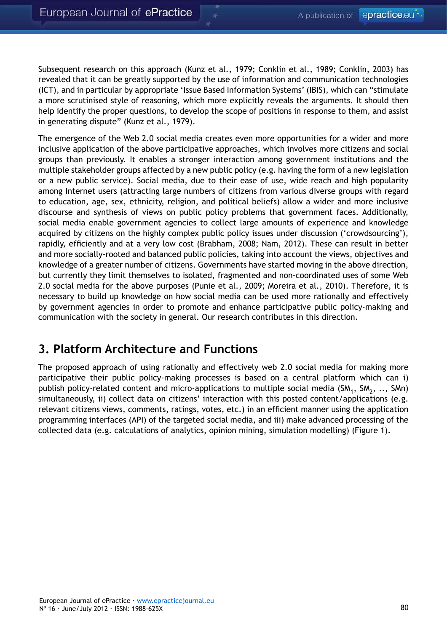Subsequent research on this approach (Kunz et al., 1979; Conklin et al., 1989; Conklin, 2003) has revealed that it can be greatly supported by the use of information and communication technologies (ICT), and in particular by appropriate 'Issue Based Information Systems' (IBIS), which can "stimulate a more scrutinised style of reasoning, which more explicitly reveals the arguments. It should then help identify the proper questions, to develop the scope of positions in response to them, and assist in generating dispute" (Kunz et al., 1979).

The emergence of the Web 2.0 social media creates even more opportunities for a wider and more inclusive application of the above participative approaches, which involves more citizens and social groups than previously. It enables a stronger interaction among government institutions and the multiple stakeholder groups affected by a new public policy (e.g. having the form of a new legislation or a new public service). Social media, due to their ease of use, wide reach and high popularity among Internet users (attracting large numbers of citizens from various diverse groups with regard to education, age, sex, ethnicity, religion, and political beliefs) allow a wider and more inclusive discourse and synthesis of views on public policy problems that government faces. Additionally, social media enable government agencies to collect large amounts of experience and knowledge acquired by citizens on the highly complex public policy issues under discussion ('crowdsourcing'), rapidly, efficiently and at a very low cost (Brabham, 2008; Nam, 2012). These can result in better and more socially-rooted and balanced public policies, taking into account the views, objectives and knowledge of a greater number of citizens. Governments have started moving in the above direction, but currently they limit themselves to isolated, fragmented and non-coordinated uses of some Web 2.0 social media for the above purposes (Punie et al., 2009; Moreira et al., 2010). Therefore, it is necessary to build up knowledge on how social media can be used more rationally and effectively by government agencies in order to promote and enhance participative public policy-making and communication with the society in general. Our research contributes in this direction.

## **3. Platform Architecture and Functions**

The proposed approach of using rationally and effectively web 2.0 social media for making more participative their public policy-making processes is based on a central platform which can i) publish policy-related content and micro-applications to multiple social media (SM<sub>1</sub>, SM<sub>2</sub>, .., SMn) simultaneously, ii) collect data on citizens' interaction with this posted content/applications (e.g. relevant citizens views, comments, ratings, votes, etc.) in an efficient manner using the application programming interfaces (API) of the targeted social media, and iii) make advanced processing of the collected data (e.g. calculations of analytics, opinion mining, simulation modelling) (Figure 1).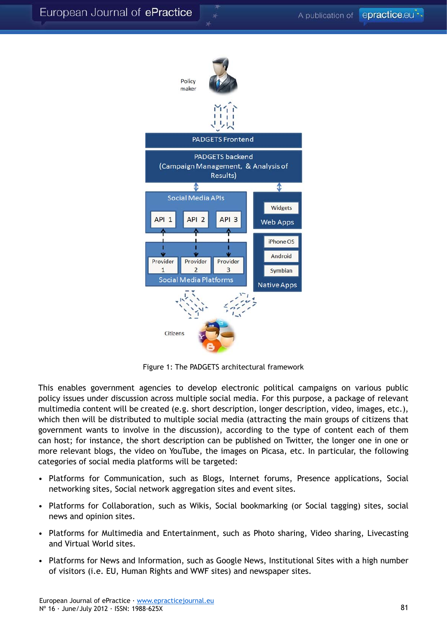

Figure 1: The PADGETS architectural framework

This enables government agencies to develop electronic political campaigns on various public policy issues under discussion across multiple social media. For this purpose, a package of relevant multimedia content will be created (e.g. short description, longer description, video, images, etc.), which then will be distributed to multiple social media (attracting the main groups of citizens that government wants to involve in the discussion), according to the type of content each of them can host; for instance, the short description can be published on Twitter, the longer one in one or more relevant blogs, the video on YouTube, the images on Picasa, etc. In particular, the following categories of social media platforms will be targeted:

- Platforms for Communication, such as Blogs, Internet forums, Presence applications, Social networking sites, Social network aggregation sites and event sites.
- Platforms for Collaboration, such as Wikis, Social bookmarking (or Social tagging) sites, social news and opinion sites.
- Platforms for Multimedia and Entertainment, such as Photo sharing, Video sharing, Livecasting and Virtual World sites.
- Platforms for News and Information, such as Google News, Institutional Sites with a high number of visitors (i.e. EU, Human Rights and WWF sites) and newspaper sites.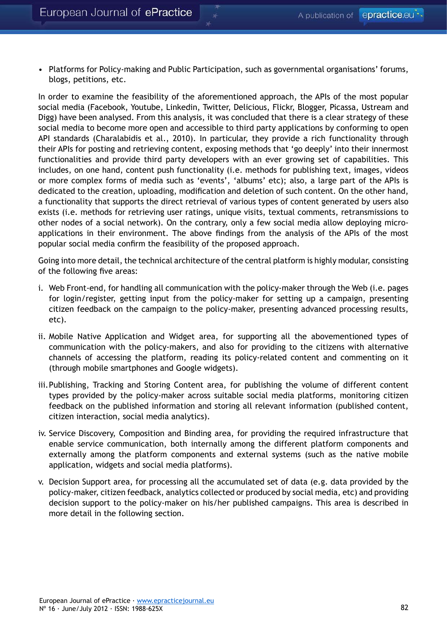• Platforms for Policy-making and Public Participation, such as governmental organisations' forums, blogs, petitions, etc.

In order to examine the feasibility of the aforementioned approach, the APIs of the most popular social media (Facebook, Youtube, Linkedin, Twitter, Delicious, Flickr, Blogger, Picassa, Ustream and Digg) have been analysed. From this analysis, it was concluded that there is a clear strategy of these social media to become more open and accessible to third party applications by conforming to open API standards (Charalabidis et al., 2010). In particular, they provide a rich functionality through their APIs for posting and retrieving content, exposing methods that 'go deeply' into their innermost functionalities and provide third party developers with an ever growing set of capabilities. This includes, on one hand, content push functionality (i.e. methods for publishing text, images, videos or more complex forms of media such as 'events', 'albums' etc); also, a large part of the APIs is dedicated to the creation, uploading, modification and deletion of such content. On the other hand, a functionality that supports the direct retrieval of various types of content generated by users also exists (i.e. methods for retrieving user ratings, unique visits, textual comments, retransmissions to other nodes of a social network). On the contrary, only a few social media allow deploying microapplications in their environment. The above findings from the analysis of the APIs of the most popular social media confirm the feasibility of the proposed approach.

Going into more detail, the technical architecture of the central platform is highly modular, consisting of the following five areas:

- i. Web Front-end, for handling all communication with the policy-maker through the Web (i.e. pages for login/register, getting input from the policy-maker for setting up a campaign, presenting citizen feedback on the campaign to the policy-maker, presenting advanced processing results, etc).
- ii. Mobile Native Application and Widget area, for supporting all the abovementioned types of communication with the policy-makers, and also for providing to the citizens with alternative channels of accessing the platform, reading its policy-related content and commenting on it (through mobile smartphones and Google widgets).
- iii.Publishing, Tracking and Storing Content area, for publishing the volume of different content types provided by the policy-maker across suitable social media platforms, monitoring citizen feedback on the published information and storing all relevant information (published content, citizen interaction, social media analytics).
- iv. Service Discovery, Composition and Binding area, for providing the required infrastructure that enable service communication, both internally among the different platform components and externally among the platform components and external systems (such as the native mobile application, widgets and social media platforms).
- v. Decision Support area, for processing all the accumulated set of data (e.g. data provided by the policy-maker, citizen feedback, analytics collected or produced by social media, etc) and providing decision support to the policy-maker on his/her published campaigns. This area is described in more detail in the following section.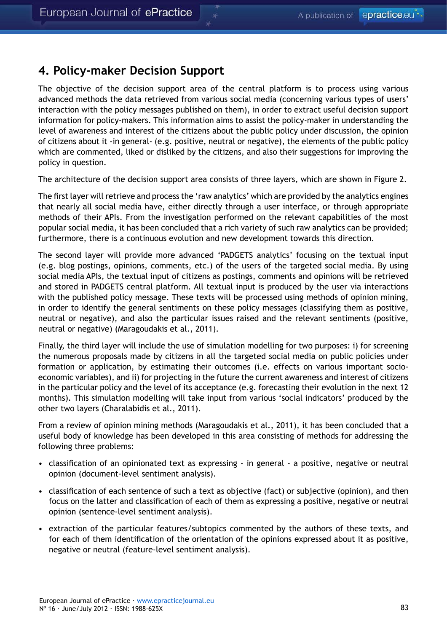#### **4. Policy-maker Decision Support**

The objective of the decision support area of the central platform is to process using various advanced methods the data retrieved from various social media (concerning various types of users' interaction with the policy messages published on them), in order to extract useful decision support information for policy-makers. This information aims to assist the policy-maker in understanding the level of awareness and interest of the citizens about the public policy under discussion, the opinion of citizens about it -in general- (e.g. positive, neutral or negative), the elements of the public policy which are commented, liked or disliked by the citizens, and also their suggestions for improving the policy in question.

The architecture of the decision support area consists of three layers, which are shown in Figure 2.

The first layer will retrieve and process the 'raw analytics' which are provided by the analytics engines that nearly all social media have, either directly through a user interface, or through appropriate methods of their APIs. From the investigation performed on the relevant capabilities of the most popular social media, it has been concluded that a rich variety of such raw analytics can be provided; furthermore, there is a continuous evolution and new development towards this direction.

The second layer will provide more advanced 'PADGETS analytics' focusing on the textual input (e.g. blog postings, opinions, comments, etc.) of the users of the targeted social media. By using social media APIs, the textual input of citizens as postings, comments and opinions will be retrieved and stored in PADGETS central platform. All textual input is produced by the user via interactions with the published policy message. These texts will be processed using methods of opinion mining, in order to identify the general sentiments on these policy messages (classifying them as positive, neutral or negative), and also the particular issues raised and the relevant sentiments (positive, neutral or negative) (Maragoudakis et al., 2011).

Finally, the third layer will include the use of simulation modelling for two purposes: i) for screening the numerous proposals made by citizens in all the targeted social media on public policies under formation or application, by estimating their outcomes (i.e. effects on various important socioeconomic variables), and ii) for projecting in the future the current awareness and interest of citizens in the particular policy and the level of its acceptance (e.g. forecasting their evolution in the next 12 months). This simulation modelling will take input from various 'social indicators' produced by the other two layers (Charalabidis et al., 2011).

From a review of opinion mining methods (Maragoudakis et al., 2011), it has been concluded that a useful body of knowledge has been developed in this area consisting of methods for addressing the following three problems:

- classification of an opinionated text as expressing in general a positive, negative or neutral opinion (document-level sentiment analysis).
- classification of each sentence of such a text as objective (fact) or subjective (opinion), and then focus on the latter and classification of each of them as expressing a positive, negative or neutral opinion (sentence-level sentiment analysis).
- extraction of the particular features/subtopics commented by the authors of these texts, and for each of them identification of the orientation of the opinions expressed about it as positive, negative or neutral (feature-level sentiment analysis).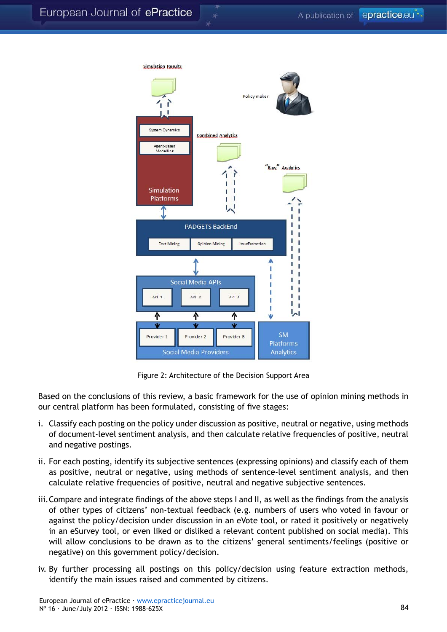

Figure 2: Architecture of the Decision Support Area

Based on the conclusions of this review, a basic framework for the use of opinion mining methods in our central platform has been formulated, consisting of five stages:

- i. Classify each posting on the policy under discussion as positive, neutral or negative, using methods of document-level sentiment analysis, and then calculate relative frequencies of positive, neutral and negative postings.
- ii. For each posting, identify its subjective sentences (expressing opinions) and classify each of them as positive, neutral or negative, using methods of sentence-level sentiment analysis, and then calculate relative frequencies of positive, neutral and negative subjective sentences.
- iii.Compare and integrate findings of the above steps I and II, as well as the findings from the analysis of other types of citizens' non-textual feedback (e.g. numbers of users who voted in favour or against the policy/decision under discussion in an eVote tool, or rated it positively or negatively in an eSurvey tool, or even liked or disliked a relevant content published on social media). This will allow conclusions to be drawn as to the citizens' general sentiments/feelings (positive or negative) on this government policy/decision.
- iv. By further processing all postings on this policy/decision using feature extraction methods, identify the main issues raised and commented by citizens.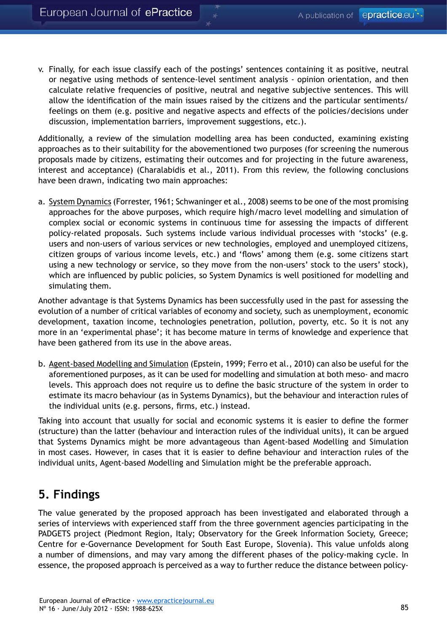v. Finally, for each issue classify each of the postings' sentences containing it as positive, neutral or negative using methods of sentence-level sentiment analysis - opinion orientation, and then calculate relative frequencies of positive, neutral and negative subjective sentences. This will allow the identification of the main issues raised by the citizens and the particular sentiments/ feelings on them (e.g. positive and negative aspects and effects of the policies/decisions under discussion, implementation barriers, improvement suggestions, etc.).

Additionally, a review of the simulation modelling area has been conducted, examining existing approaches as to their suitability for the abovementioned two purposes (for screening the numerous proposals made by citizens, estimating their outcomes and for projecting in the future awareness, interest and acceptance) (Charalabidis et al., 2011). From this review, the following conclusions have been drawn, indicating two main approaches:

a. System Dynamics (Forrester, 1961; Schwaninger et al., 2008) seems to be one of the most promising approaches for the above purposes, which require high/macro level modelling and simulation of complex social or economic systems in continuous time for assessing the impacts of different policy-related proposals. Such systems include various individual processes with 'stocks' (e.g. users and non-users of various services or new technologies, employed and unemployed citizens, citizen groups of various income levels, etc.) and 'flows' among them (e.g. some citizens start using a new technology or service, so they move from the non-users' stock to the users' stock), which are influenced by public policies, so System Dynamics is well positioned for modelling and simulating them.

Another advantage is that Systems Dynamics has been successfully used in the past for assessing the evolution of a number of critical variables of economy and society, such as unemployment, economic development, taxation income, technologies penetration, pollution, poverty, etc. So it is not any more in an 'experimental phase'; it has become mature in terms of knowledge and experience that have been gathered from its use in the above areas.

b. Agent-based Modelling and Simulation (Epstein, 1999; Ferro et al., 2010) can also be useful for the aforementioned purposes, as it can be used for modelling and simulation at both meso- and macro levels. This approach does not require us to define the basic structure of the system in order to estimate its macro behaviour (as in Systems Dynamics), but the behaviour and interaction rules of the individual units (e.g. persons, firms, etc.) instead.

Taking into account that usually for social and economic systems it is easier to define the former (structure) than the latter (behaviour and interaction rules of the individual units), it can be argued that Systems Dynamics might be more advantageous than Agent-based Modelling and Simulation in most cases. However, in cases that it is easier to define behaviour and interaction rules of the individual units, Agent-based Modelling and Simulation might be the preferable approach.

## **5. Findings**

The value generated by the proposed approach has been investigated and elaborated through a series of interviews with experienced staff from the three government agencies participating in the PADGETS project (Piedmont Region, Italy; Observatory for the Greek Information Society, Greece; Centre for e-Governance Development for South East Europe, Slovenia). This value unfolds along a number of dimensions, and may vary among the different phases of the policy-making cycle. In essence, the proposed approach is perceived as a way to further reduce the distance between policy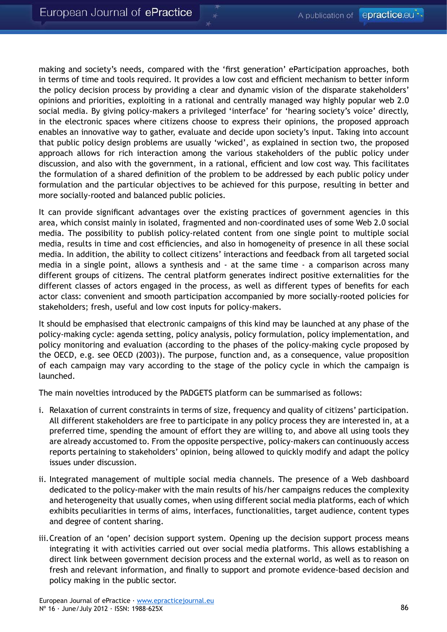making and society's needs, compared with the 'first generation' eParticipation approaches, both in terms of time and tools required. It provides a low cost and efficient mechanism to better inform the policy decision process by providing a clear and dynamic vision of the disparate stakeholders' opinions and priorities, exploiting in a rational and centrally managed way highly popular web 2.0 social media. By giving policy-makers a privileged 'interface' for 'hearing society's voice' directly, in the electronic spaces where citizens choose to express their opinions, the proposed approach enables an innovative way to gather, evaluate and decide upon society's input. Taking into account that public policy design problems are usually 'wicked', as explained in section two, the proposed approach allows for rich interaction among the various stakeholders of the public policy under discussion, and also with the government, in a rational, efficient and low cost way. This facilitates the formulation of a shared definition of the problem to be addressed by each public policy under formulation and the particular objectives to be achieved for this purpose, resulting in better and more socially-rooted and balanced public policies.

It can provide significant advantages over the existing practices of government agencies in this area, which consist mainly in isolated, fragmented and non-coordinated uses of some Web 2.0 social media. The possibility to publish policy-related content from one single point to multiple social media, results in time and cost efficiencies, and also in homogeneity of presence in all these social media. In addition, the ability to collect citizens' interactions and feedback from all targeted social media in a single point, allows a synthesis and - at the same time - a comparison across many different groups of citizens. The central platform generates indirect positive externalities for the different classes of actors engaged in the process, as well as different types of benefits for each actor class: convenient and smooth participation accompanied by more socially-rooted policies for stakeholders; fresh, useful and low cost inputs for policy-makers.

It should be emphasised that electronic campaigns of this kind may be launched at any phase of the policy-making cycle: agenda setting, policy analysis, policy formulation, policy implementation, and policy monitoring and evaluation (according to the phases of the policy-making cycle proposed by the OECD, e.g. see OECD (2003)). The purpose, function and, as a consequence, value proposition of each campaign may vary according to the stage of the policy cycle in which the campaign is launched.

The main novelties introduced by the PADGETS platform can be summarised as follows:

- i. Relaxation of current constraints in terms of size, frequency and quality of citizens' participation. All different stakeholders are free to participate in any policy process they are interested in, at a preferred time, spending the amount of effort they are willing to, and above all using tools they are already accustomed to. From the opposite perspective, policy-makers can continuously access reports pertaining to stakeholders' opinion, being allowed to quickly modify and adapt the policy issues under discussion.
- ii. Integrated management of multiple social media channels. The presence of a Web dashboard dedicated to the policy-maker with the main results of his/her campaigns reduces the complexity and heterogeneity that usually comes, when using different social media platforms, each of which exhibits peculiarities in terms of aims, interfaces, functionalities, target audience, content types and degree of content sharing.
- iii.Creation of an 'open' decision support system. Opening up the decision support process means integrating it with activities carried out over social media platforms. This allows establishing a direct link between government decision process and the external world, as well as to reason on fresh and relevant information, and finally to support and promote evidence-based decision and policy making in the public sector.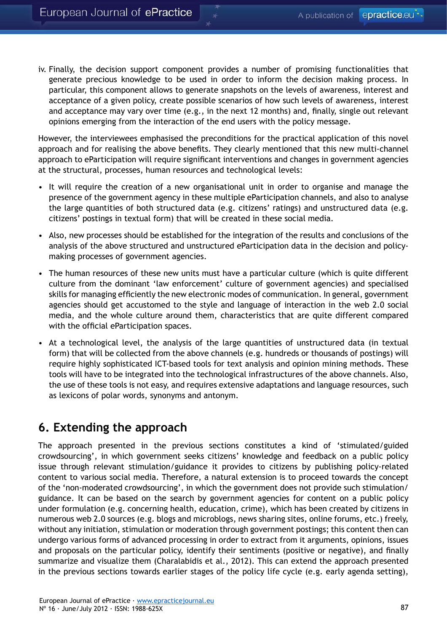iv. Finally, the decision support component provides a number of promising functionalities that generate precious knowledge to be used in order to inform the decision making process. In particular, this component allows to generate snapshots on the levels of awareness, interest and acceptance of a given policy, create possible scenarios of how such levels of awareness, interest and acceptance may vary over time (e.g., in the next 12 months) and, finally, single out relevant opinions emerging from the interaction of the end users with the policy message.

However, the interviewees emphasised the preconditions for the practical application of this novel approach and for realising the above benefits. They clearly mentioned that this new multi-channel approach to eParticipation will require significant interventions and changes in government agencies at the structural, processes, human resources and technological levels:

- It will require the creation of a new organisational unit in order to organise and manage the presence of the government agency in these multiple eParticipation channels, and also to analyse the large quantities of both structured data (e.g. citizens' ratings) and unstructured data (e.g. citizens' postings in textual form) that will be created in these social media.
- Also, new processes should be established for the integration of the results and conclusions of the analysis of the above structured and unstructured eParticipation data in the decision and policymaking processes of government agencies.
- The human resources of these new units must have a particular culture (which is quite different culture from the dominant 'law enforcement' culture of government agencies) and specialised skills for managing efficiently the new electronic modes of communication. In general, government agencies should get accustomed to the style and language of interaction in the web 2.0 social media, and the whole culture around them, characteristics that are quite different compared with the official eParticipation spaces.
- At a technological level, the analysis of the large quantities of unstructured data (in textual form) that will be collected from the above channels (e.g. hundreds or thousands of postings) will require highly sophisticated ICT-based tools for text analysis and opinion mining methods. These tools will have to be integrated into the technological infrastructures of the above channels. Also, the use of these tools is not easy, and requires extensive adaptations and language resources, such as lexicons of polar words, synonyms and antonym.

## **6. Extending the approach**

The approach presented in the previous sections constitutes a kind of 'stimulated/guided crowdsourcing', in which government seeks citizens' knowledge and feedback on a public policy issue through relevant stimulation/guidance it provides to citizens by publishing policy-related content to various social media. Therefore, a natural extension is to proceed towards the concept of the 'non-moderated crowdsourcing', in which the government does not provide such stimulation/ guidance. It can be based on the search by government agencies for content on a public policy under formulation (e.g. concerning health, education, crime), which has been created by citizens in numerous web 2.0 sources (e.g. blogs and microblogs, news sharing sites, online forums, etc.) freely, without any initiation, stimulation or moderation through government postings; this content then can undergo various forms of advanced processing in order to extract from it arguments, opinions, issues and proposals on the particular policy, identify their sentiments (positive or negative), and finally summarize and visualize them (Charalabidis et al., 2012). This can extend the approach presented in the previous sections towards earlier stages of the policy life cycle (e.g. early agenda setting),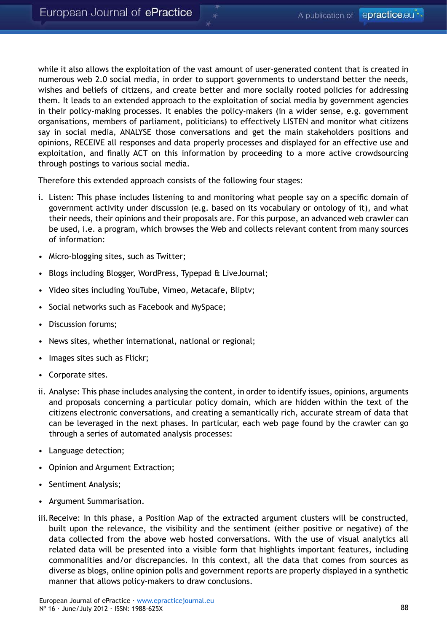while it also allows the exploitation of the vast amount of user-generated content that is created in numerous web 2.0 social media, in order to support governments to understand better the needs, wishes and beliefs of citizens, and create better and more socially rooted policies for addressing them. It leads to an extended approach to the exploitation of social media by government agencies in their policy-making processes. It enables the policy-makers (in a wider sense, e.g. government organisations, members of parliament, politicians) to effectively LISTEN and monitor what citizens say in social media, ANALYSE those conversations and get the main stakeholders positions and opinions, RECEIVE all responses and data properly processes and displayed for an effective use and exploitation, and finally ACT on this information by proceeding to a more active crowdsourcing through postings to various social media.

Therefore this extended approach consists of the following four stages:

- i. Listen: This phase includes listening to and monitoring what people say on a specific domain of government activity under discussion (e.g. based on its vocabulary or ontology of it), and what their needs, their opinions and their proposals are. For this purpose, an advanced web crawler can be used, i.e. a program, which browses the Web and collects relevant content from many sources of information:
- Micro-blogging sites, such as Twitter;
- Blogs including Blogger, WordPress, Typepad & LiveJournal;
- Video sites including YouTube, Vimeo, Metacafe, Bliptv;
- Social networks such as Facebook and MySpace;
- Discussion forums;
- News sites, whether international, national or regional;
- Images sites such as Flickr;
- Corporate sites.
- ii. Analyse: This phase includes analysing the content, in order to identify issues, opinions, arguments and proposals concerning a particular policy domain, which are hidden within the text of the citizens electronic conversations, and creating a semantically rich, accurate stream of data that can be leveraged in the next phases. In particular, each web page found by the crawler can go through a series of automated analysis processes:
- Language detection;
- Opinion and Argument Extraction;
- Sentiment Analysis;
- Argument Summarisation.
- iii.Receive: In this phase, a Position Map of the extracted argument clusters will be constructed, built upon the relevance, the visibility and the sentiment (either positive or negative) of the data collected from the above web hosted conversations. With the use of visual analytics all related data will be presented into a visible form that highlights important features, including commonalities and/or discrepancies. In this context, all the data that comes from sources as diverse as blogs, online opinion polls and government reports are properly displayed in a synthetic manner that allows policy-makers to draw conclusions.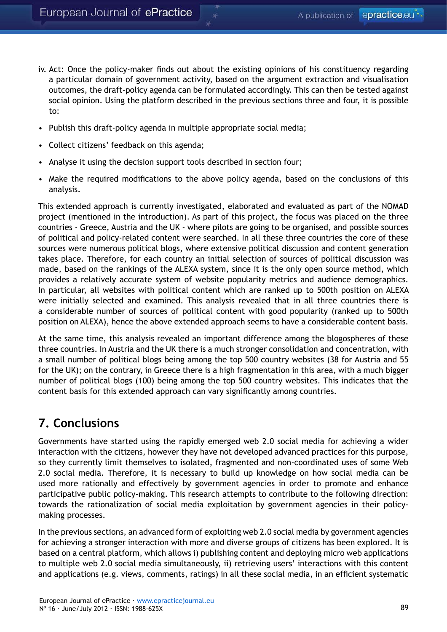- iv. Act: Once the policy-maker finds out about the existing opinions of his constituency regarding a particular domain of government activity, based on the argument extraction and visualisation outcomes, the draft-policy agenda can be formulated accordingly. This can then be tested against social opinion. Using the platform described in the previous sections three and four, it is possible to:
- Publish this draft-policy agenda in multiple appropriate social media;
- Collect citizens' feedback on this agenda;
- Analyse it using the decision support tools described in section four;
- Make the required modifications to the above policy agenda, based on the conclusions of this analysis.

This extended approach is currently investigated, elaborated and evaluated as part of the NOMAD project (mentioned in the introduction). As part of this project, the focus was placed on the three countries - Greece, Austria and the UK - where pilots are going to be organised, and possible sources of political and policy-related content were searched. In all these three countries the core of these sources were numerous political blogs, where extensive political discussion and content generation takes place. Therefore, for each country an initial selection of sources of political discussion was made, based on the rankings of the ALEXA system, since it is the only open source method, which provides a relatively accurate system of website popularity metrics and audience demographics. In particular, all websites with political content which are ranked up to 500th position on ALEXA were initially selected and examined. This analysis revealed that in all three countries there is a considerable number of sources of political content with good popularity (ranked up to 500th position on ALEXA), hence the above extended approach seems to have a considerable content basis.

At the same time, this analysis revealed an important difference among the blogospheres of these three countries. In Austria and the UK there is a much stronger consolidation and concentration, with a small number of political blogs being among the top 500 country websites (38 for Austria and 55 for the UK); on the contrary, in Greece there is a high fragmentation in this area, with a much bigger number of political blogs (100) being among the top 500 country websites. This indicates that the content basis for this extended approach can vary significantly among countries.

## **7. Conclusions**

Governments have started using the rapidly emerged web 2.0 social media for achieving a wider interaction with the citizens, however they have not developed advanced practices for this purpose, so they currently limit themselves to isolated, fragmented and non-coordinated uses of some Web 2.0 social media. Therefore, it is necessary to build up knowledge on how social media can be used more rationally and effectively by government agencies in order to promote and enhance participative public policy-making. This research attempts to contribute to the following direction: towards the rationalization of social media exploitation by government agencies in their policymaking processes.

In the previous sections, an advanced form of exploiting web 2.0 social media by government agencies for achieving a stronger interaction with more and diverse groups of citizens has been explored. It is based on a central platform, which allows i) publishing content and deploying micro web applications to multiple web 2.0 social media simultaneously, ii) retrieving users' interactions with this content and applications (e.g. views, comments, ratings) in all these social media, in an efficient systematic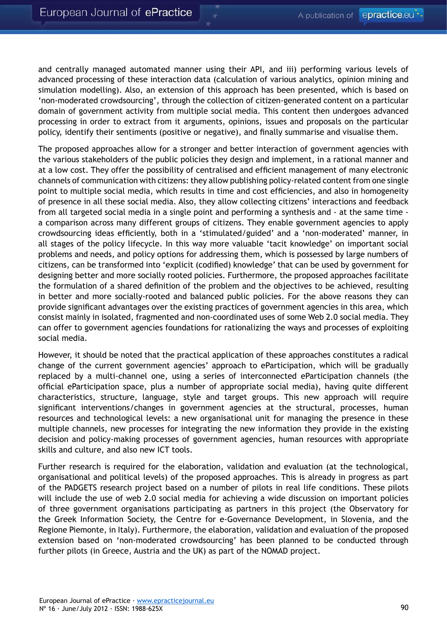and centrally managed automated manner using their API, and iii) performing various levels of advanced processing of these interaction data (calculation of various analytics, opinion mining and simulation modelling). Also, an extension of this approach has been presented, which is based on 'non-moderated crowdsourcing', through the collection of citizen-generated content on a particular domain of government activity from multiple social media. This content then undergoes advanced processing in order to extract from it arguments, opinions, issues and proposals on the particular policy, identify their sentiments (positive or negative), and finally summarise and visualise them.

The proposed approaches allow for a stronger and better interaction of government agencies with the various stakeholders of the public policies they design and implement, in a rational manner and at a low cost. They offer the possibility of centralised and efficient management of many electronic channels of communication with citizens: they allow publishing policy-related content from one single point to multiple social media, which results in time and cost efficiencies, and also in homogeneity of presence in all these social media. Also, they allow collecting citizens' interactions and feedback from all targeted social media in a single point and performing a synthesis and - at the same time a comparison across many different groups of citizens. They enable government agencies to apply crowdsourcing ideas efficiently, both in a 'stimulated/guided' and a 'non-moderated' manner, in all stages of the policy lifecycle. In this way more valuable 'tacit knowledge' on important social problems and needs, and policy options for addressing them, which is possessed by large numbers of citizens, can be transformed into 'explicit (codified) knowledge' that can be used by government for designing better and more socially rooted policies. Furthermore, the proposed approaches facilitate the formulation of a shared definition of the problem and the objectives to be achieved, resulting in better and more socially-rooted and balanced public policies. For the above reasons they can provide significant advantages over the existing practices of government agencies in this area, which consist mainly in isolated, fragmented and non-coordinated uses of some Web 2.0 social media. They can offer to government agencies foundations for rationalizing the ways and processes of exploiting social media.

However, it should be noted that the practical application of these approaches constitutes a radical change of the current government agencies' approach to eParticipation, which will be gradually replaced by a multi-channel one, using a series of interconnected eParticipation channels (the official eParticipation space, plus a number of appropriate social media), having quite different characteristics, structure, language, style and target groups. This new approach will require significant interventions/changes in government agencies at the structural, processes, human resources and technological levels: a new organisational unit for managing the presence in these multiple channels, new processes for integrating the new information they provide in the existing decision and policy-making processes of government agencies, human resources with appropriate skills and culture, and also new ICT tools.

Further research is required for the elaboration, validation and evaluation (at the technological, organisational and political levels) of the proposed approaches. This is already in progress as part of the PADGETS research project based on a number of pilots in real life conditions. These pilots will include the use of web 2.0 social media for achieving a wide discussion on important policies of three government organisations participating as partners in this project (the Observatory for the Greek Information Society, the Centre for e-Governance Development, in Slovenia, and the Regione Piemonte, in Italy). Furthermore, the elaboration, validation and evaluation of the proposed extension based on 'non-moderated crowdsourcing' has been planned to be conducted through further pilots (in Greece, Austria and the UK) as part of the NOMAD project.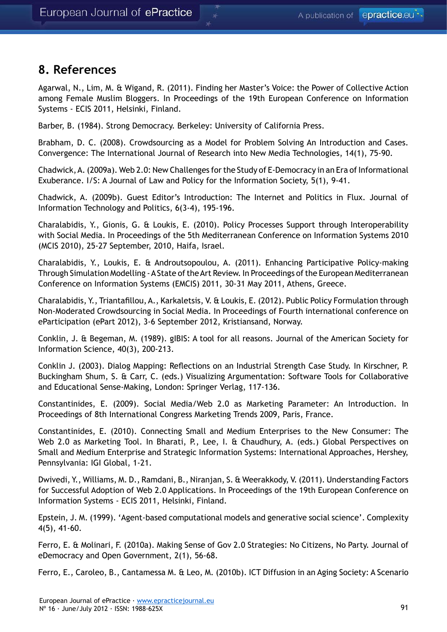#### **8. References**

Agarwal, N., Lim, M. & Wigand, R. (2011). Finding her Master's Voice: the Power of Collective Action among Female Muslim Bloggers. In Proceedings of the 19th European Conference on Information Systems - ECIS 2011, Helsinki, Finland.

Barber, B. (1984). Strong Democracy. Berkeley: University of California Press.

Brabham, D. C. (2008). Crowdsourcing as a Model for Problem Solving An Introduction and Cases. Convergence: The International Journal of Research into New Media Technologies, 14(1), 75-90.

Chadwick, A. (2009a). Web 2.0: New Challenges for the Study of E-Democracy in an Era of Informational Exuberance. I/S: A Journal of Law and Policy for the Information Society, 5(1), 9-41.

Chadwick, A. (2009b). Guest Editor's Introduction: The Internet and Politics in Flux. Journal of Information Technology and Politics, 6(3-4), 195-196.

Charalabidis, Y., Gionis, G. & Loukis, E. (2010). Policy Processes Support through Interoperability with Social Media. In Proceedings of the 5th Mediterranean Conference on Information Systems 2010 (MCIS 2010), 25-27 September, 2010, Haifa, Israel.

Charalabidis, Y., Loukis, E. & Androutsopoulou, A. (2011). Enhancing Participative Policy-making Through Simulation Modelling - A State of the Art Review. In Proceedings of the European Mediterranean Conference on Information Systems (EMCIS) 2011, 30-31 May 2011, Athens, Greece.

Charalabidis, Y., Triantafillou, A., Karkaletsis, V. & Loukis, E. (2012). Public Policy Formulation through Non-Moderated Crowdsourcing in Social Media. In Proceedings of Fourth international conference on eParticipation (ePart 2012), 3-6 September 2012, Kristiansand, Norway.

Conklin, J. & Begeman, M. (1989). gIBIS: A tool for all reasons. Journal of the American Society for Information Science, 40(3), 200-213.

Conklin J. (2003). Dialog Mapping: Reflections on an Industrial Strength Case Study. In Kirschner, P. Buckingham Shum, S. & Carr, C. (eds.) Visualizing Argumentation: Software Tools for Collaborative and Educational Sense-Making, London: Springer Verlag, 117-136.

Constantinides, E. (2009). Social Media/Web 2.0 as Marketing Parameter: An Introduction. In Proceedings of 8th International Congress Marketing Trends 2009, Paris, France.

Constantinides, E. (2010). Connecting Small and Medium Enterprises to the New Consumer: The Web 2.0 as Marketing Tool. In Bharati, P., Lee, I. & Chaudhury, A. (eds.) Global Perspectives on Small and Medium Enterprise and Strategic Information Systems: International Approaches, Hershey, Pennsylvania: IGI Global, 1-21.

Dwivedi, Y., Williams, M. D., Ramdani, B., Niranjan, S. & Weerakkody, V. (2011). Understanding Factors for Successful Adoption of Web 2.0 Applications. In Proceedings of the 19th European Conference on Information Systems - ECIS 2011, Helsinki, Finland.

Epstein, J. M. (1999). 'Agent-based computational models and generative social science'. Complexity 4(5), 41-60.

Ferro, E. & Molinari, F. (2010a). Making Sense of Gov 2.0 Strategies: No Citizens, No Party. Journal of eDemocracy and Open Government, 2(1), 56-68.

Ferro, E., Caroleo, B., Cantamessa M. & Leo, M. (2010b). ICT Diffusion in an Aging Society: A Scenario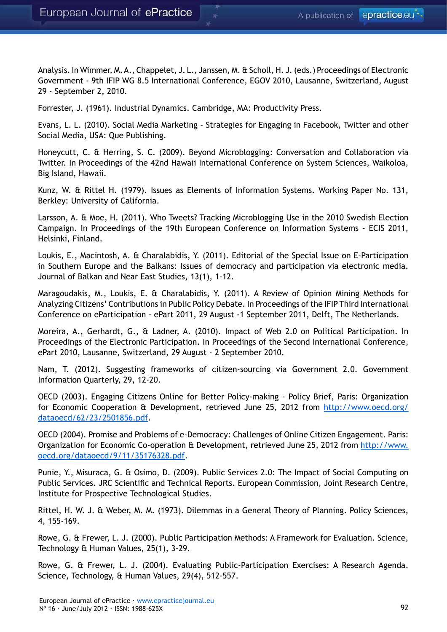Analysis. In Wimmer, M. A., Chappelet, J. L., Janssen, M. & Scholl, H. J. (eds.) Proceedings of Electronic Government - 9th IFIP WG 8.5 International Conference, EGOV 2010, Lausanne, Switzerland, August 29 - September 2, 2010.

Forrester, J. (1961). Industrial Dynamics. Cambridge, MA: Productivity Press.

Evans, L. L. (2010). Social Media Marketing - Strategies for Engaging in Facebook, Twitter and other Social Media, USA: Que Publishing.

Honeycutt, C. & Herring, S. C. (2009). Beyond Microblogging: Conversation and Collaboration via Twitter. In Proceedings of the 42nd Hawaii International Conference on System Sciences, Waikoloa, Big Island, Hawaii.

Kunz, W. & Rittel H. (1979). Issues as Elements of Information Systems. Working Paper No. 131, Berkley: University of California.

Larsson, A. & Moe, H. (2011). Who Tweets? Tracking Microblogging Use in the 2010 Swedish Election Campaign. In Proceedings of the 19th European Conference on Information Systems - ECIS 2011, Helsinki, Finland.

Loukis, E., Macintosh, A. & Charalabidis, Y. (2011). Editorial of the Special Issue on E-Participation in Southern Europe and the Balkans: Issues of democracy and participation via electronic media. Journal of Balkan and Near East Studies, 13(1), 1-12.

Maragoudakis, M., Loukis, E. & Charalabidis, Y. (2011). A Review of Opinion Mining Methods for Analyzing Citizens' Contributions in Public Policy Debate. In Proceedings of the IFIP Third International Conference on eParticipation - ePart 2011, 29 August -1 September 2011, Delft, The Netherlands.

Moreira, A., Gerhardt, G., & Ladner, A. (2010). Impact of Web 2.0 on Political Participation. In Proceedings of the Electronic Participation. In Proceedings of the Second International Conference, ePart 2010, Lausanne, Switzerland, 29 August - 2 September 2010.

Nam, T. (2012). Suggesting frameworks of citizen-sourcing via Government 2.0. Government Information Quarterly, 29, 12-20.

OECD (2003). Engaging Citizens Online for Better Policy-making - Policy Brief, Paris: Organization for Economic Cooperation & Development, retrieved June 25, 2012 from [http://www.oecd.org/](http://www.oecd.org/dataoecd/62/23/2501856.pdf) [dataoecd/62/23/2501856.pdf](http://www.oecd.org/dataoecd/62/23/2501856.pdf).

OECD (2004). Promise and Problems of e-Democracy: Challenges of Online Citizen Engagement. Paris: Organization for Economic Co-operation & Development, retrieved June 25, 2012 from [http://www.](http://www.oecd.org/dataoecd/9/11/35176328.pdf) [oecd.org/dataoecd/9/11/35176328.pdf](http://www.oecd.org/dataoecd/9/11/35176328.pdf).

Punie, Y., Misuraca, G. & Osimo, D. (2009). Public Services 2.0: The Impact of Social Computing on Public Services. JRC Scientific and Technical Reports. European Commission, Joint Research Centre, Institute for Prospective Technological Studies.

Rittel, H. W. J. & Weber, M. M. (1973). Dilemmas in a General Theory of Planning. Policy Sciences, 4, 155-169.

Rowe, G. & Frewer, L. J. (2000). Public Participation Methods: A Framework for Evaluation. Science, Technology & Human Values, 25(1), 3-29.

Rowe, G. & Frewer, L. J. (2004). Evaluating Public-Participation Exercises: A Research Agenda. Science, Technology, & Human Values, 29(4), 512-557.